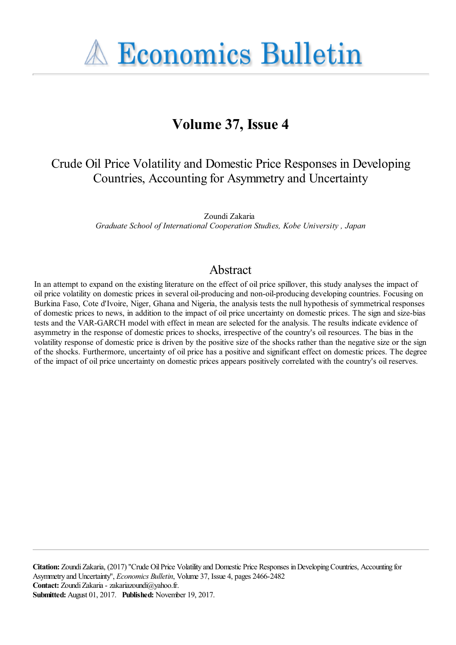**A Economics Bulletin** 

# **Volume 37, Issue 4**

# Crude Oil Price Volatility and Domestic Price Responses in Developing Countries, Accounting for Asymmetry and Uncertainty

Zoundi Zakaria *Graduate School of International Cooperation Studies, Kobe University , Japan*

# Abstract

In an attempt to expand on the existing literature on the effect of oil price spillover, this study analyses the impact of oil price volatility on domestic prices in several oil-producing and non-oil-producing developing countries. Focusing on Burkina Faso, Cote d'Ivoire, Niger, Ghana and Nigeria, the analysis tests the null hypothesis of symmetrical responses of domestic prices to news, in addition to the impact of oil price uncertainty on domestic prices. The sign and size-bias tests and the VAR-GARCH model with effect in mean are selected for the analysis. The results indicate evidence of asymmetry in the response of domestic prices to shocks, irrespective of the country's oil resources. The bias in the volatility response of domestic price is driven by the positive size of the shocks rather than the negative size or the sign of the shocks. Furthermore, uncertainty of oil price has a positive and significant effect on domestic prices. The degree of the impact of oil price uncertainty on domestic prices appears positively correlated with the country's oil reserves.

**Citation:** Zoundi Zakaria, (2017) ''Crude Oil Price Volatility and Domestic Price Responses in Developing Countries, Accounting for Asymmetry and Uncertainty'', *Economics Bulletin*, Volume 37, Issue 4, pages 2466-2482 **Contact:** Zoundi Zakaria - zakariazoundi@yahoo.fr. **Submitted:** August 01, 2017. **Published:** November 19, 2017.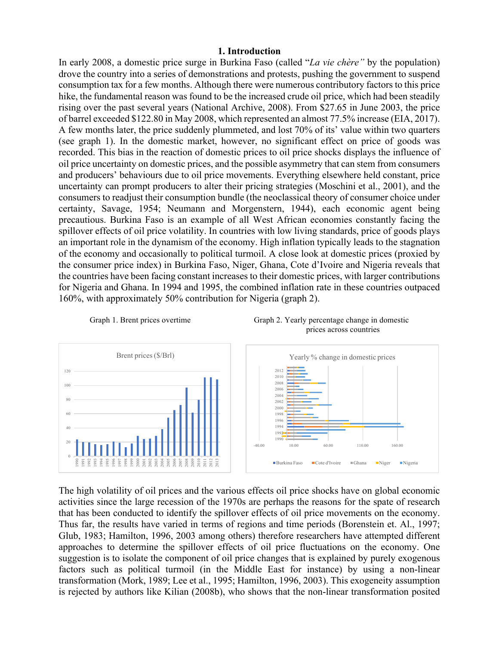#### **1. Introduction**

In early 2008, a domestic price surge in Burkina Faso (called "*La vie chère"* by the population) drove the country into a series of demonstrations and protests, pushing the government to suspend consumption tax for a few months. Although there were numerous contributory factors to this price hike, the fundamental reason was found to be the increased crude oil price, which had been steadily rising over the past several years (National Archive, 2008). From \$27.65 in June 2003, the price of barrel exceeded \$122.80 in May 2008, which represented an almost 77.5% increase (EIA, 2017). A few months later, the price suddenly plummeted, and lost 70% of its' value within two quarters (see graph 1). In the domestic market, however, no significant effect on price of goods was recorded. This bias in the reaction of domestic prices to oil price shocks displays the influence of oil price uncertainty on domestic prices, and the possible asymmetry that can stem from consumers and producers' behaviours due to oil price movements. Everything elsewhere held constant, price uncertainty can prompt producers to alter their pricing strategies (Moschini et al., 2001), and the consumers to readjust their consumption bundle (the neoclassical theory of consumer choice under certainty, Savage, 1954; Neumann and Morgenstern, 1944), each economic agent being precautious. Burkina Faso is an example of all West African economies constantly facing the spillover effects of oil price volatility. In countries with low living standards, price of goods plays an important role in the dynamism of the economy. High inflation typically leads to the stagnation of the economy and occasionally to political turmoil. A close look at domestic prices (proxied by the consumer price index) in Burkina Faso, Niger, Ghana, Cote d'Ivoire and Nigeria reveals that the countries have been facing constant increases to their domestic prices, with larger contributions for Nigeria and Ghana. In 1994 and 1995, the combined inflation rate in these countries outpaced 160%, with approximately 50% contribution for Nigeria (graph 2).





The high volatility of oil prices and the various effects oil price shocks have on global economic activities since the large recession of the 1970s are perhaps the reasons for the spate of research that has been conducted to identify the spillover effects of oil price movements on the economy. Thus far, the results have varied in terms of regions and time periods (Borenstein et. Al., 1997; Glub, 1983; Hamilton, 1996, 2003 among others) therefore researchers have attempted different approaches to determine the spillover effects of oil price fluctuations on the economy. One suggestion is to isolate the component of oil price changes that is explained by purely exogenous factors such as political turmoil (in the Middle East for instance) by using a non-linear transformation (Mork, 1989; Lee et al., 1995; Hamilton, 1996, 2003). This exogeneity assumption is rejected by authors like Kilian (2008b), who shows that the non-linear transformation posited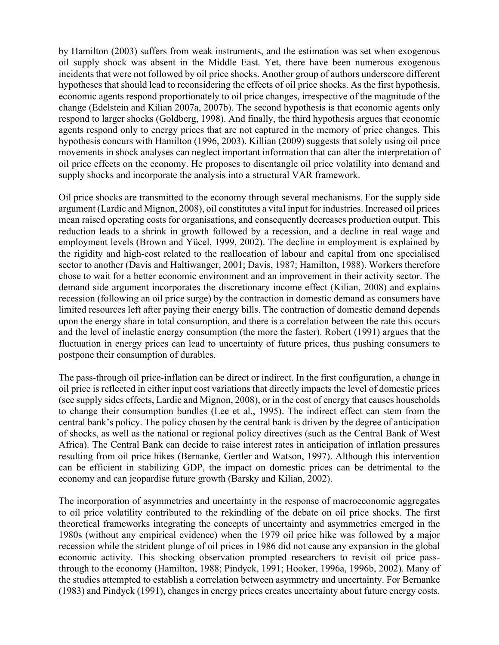by Hamilton (2003) suffers from weak instruments, and the estimation was set when exogenous oil supply shock was absent in the Middle East. Yet, there have been numerous exogenous incidents that were not followed by oil price shocks. Another group of authors underscore different hypotheses that should lead to reconsidering the effects of oil price shocks. As the first hypothesis, economic agents respond proportionately to oil price changes, irrespective of the magnitude of the change (Edelstein and Kilian 2007a, 2007b). The second hypothesis is that economic agents only respond to larger shocks (Goldberg, 1998). And finally, the third hypothesis argues that economic agents respond only to energy prices that are not captured in the memory of price changes. This hypothesis concurs with Hamilton (1996, 2003). Killian (2009) suggests that solely using oil price movements in shock analyses can neglect important information that can alter the interpretation of oil price effects on the economy. He proposes to disentangle oil price volatility into demand and supply shocks and incorporate the analysis into a structural VAR framework.

Oil price shocks are transmitted to the economy through several mechanisms. For the supply side argument (Lardic and Mignon, 2008), oil constitutes a vital input for industries. Increased oil prices mean raised operating costs for organisations, and consequently decreases production output. This reduction leads to a shrink in growth followed by a recession, and a decline in real wage and employment levels (Brown and Yücel, 1999, 2002). The decline in employment is explained by the rigidity and high-cost related to the reallocation of labour and capital from one specialised sector to another (Davis and Haltiwanger, 2001; Davis, 1987; Hamilton, 1988). Workers therefore chose to wait for a better economic environment and an improvement in their activity sector. The demand side argument incorporates the discretionary income effect (Kilian, 2008) and explains recession (following an oil price surge) by the contraction in domestic demand as consumers have limited resources left after paying their energy bills. The contraction of domestic demand depends upon the energy share in total consumption, and there is a correlation between the rate this occurs and the level of inelastic energy consumption (the more the faster). Robert (1991) argues that the fluctuation in energy prices can lead to uncertainty of future prices, thus pushing consumers to postpone their consumption of durables.

The pass-through oil price-inflation can be direct or indirect. In the first configuration, a change in oil price is reflected in either input cost variations that directly impacts the level of domestic prices (see supply sides effects, Lardic and Mignon, 2008), or in the cost of energy that causes households to change their consumption bundles (Lee et al., 1995). The indirect effect can stem from the central bank's policy. The policy chosen by the central bank is driven by the degree of anticipation of shocks, as well as the national or regional policy directives (such as the Central Bank of West Africa). The Central Bank can decide to raise interest rates in anticipation of inflation pressures resulting from oil price hikes (Bernanke, Gertler and Watson, 1997). Although this intervention can be efficient in stabilizing GDP, the impact on domestic prices can be detrimental to the economy and can jeopardise future growth (Barsky and Kilian, 2002).

The incorporation of asymmetries and uncertainty in the response of macroeconomic aggregates to oil price volatility contributed to the rekindling of the debate on oil price shocks. The first theoretical frameworks integrating the concepts of uncertainty and asymmetries emerged in the 1980s (without any empirical evidence) when the 1979 oil price hike was followed by a major recession while the strident plunge of oil prices in 1986 did not cause any expansion in the global economic activity. This shocking observation prompted researchers to revisit oil price passthrough to the economy (Hamilton, 1988; Pindyck, 1991; Hooker, 1996a, 1996b, 2002). Many of the studies attempted to establish a correlation between asymmetry and uncertainty. For Bernanke (1983) and Pindyck (1991), changes in energy prices creates uncertainty about future energy costs.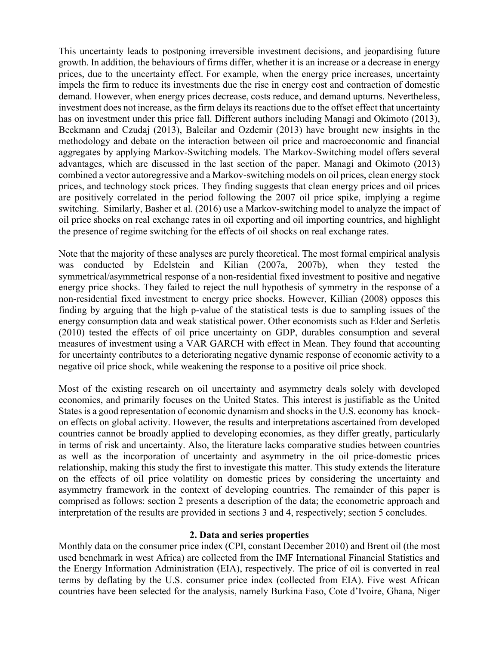This uncertainty leads to postponing irreversible investment decisions, and jeopardising future growth. In addition, the behaviours of firms differ, whether it is an increase or a decrease in energy prices, due to the uncertainty effect. For example, when the energy price increases, uncertainty impels the firm to reduce its investments due the rise in energy cost and contraction of domestic demand. However, when energy prices decrease, costs reduce, and demand upturns. Nevertheless, investment does not increase, as the firm delays its reactions due to the offset effect that uncertainty has on investment under this price fall. Different authors including Managi and Okimoto (2013), Beckmann and Czudaj (2013), Balcilar and Ozdemir (2013) have brought new insights in the methodology and debate on the interaction between oil price and macroeconomic and financial aggregates by applying Markov-Switching models. The Markov-Switching model offers several advantages, which are discussed in the last section of the paper. Managi and Okimoto (2013) combined a vector autoregressive and a Markov-switching models on oil prices, clean energy stock prices, and technology stock prices. They finding suggests that clean energy prices and oil prices are positively correlated in the period following the 2007 oil price spike, implying a regime switching. Similarly, Basher et al. (2016) use a Markov-switching model to analyze the impact of oil price shocks on real exchange rates in oil exporting and oil importing countries, and highlight the presence of regime switching for the effects of oil shocks on real exchange rates.

Note that the majority of these analyses are purely theoretical. The most formal empirical analysis was conducted by Edelstein and Kilian (2007a, 2007b), when they tested the symmetrical/asymmetrical response of a non-residential fixed investment to positive and negative energy price shocks. They failed to reject the null hypothesis of symmetry in the response of a non-residential fixed investment to energy price shocks. However, Killian (2008) opposes this finding by arguing that the high p-value of the statistical tests is due to sampling issues of the energy consumption data and weak statistical power. Other economists such as Elder and Serletis (2010) tested the effects of oil price uncertainty on GDP, durables consumption and several measures of investment using a VAR GARCH with effect in Mean. They found that accounting for uncertainty contributes to a deteriorating negative dynamic response of economic activity to a negative oil price shock, while weakening the response to a positive oil price shock.

Most of the existing research on oil uncertainty and asymmetry deals solely with developed economies, and primarily focuses on the United States. This interest is justifiable as the United States is a good representation of economic dynamism and shocks in the U.S. economy has knockon effects on global activity. However, the results and interpretations ascertained from developed countries cannot be broadly applied to developing economies, as they differ greatly, particularly in terms of risk and uncertainty. Also, the literature lacks comparative studies between countries as well as the incorporation of uncertainty and asymmetry in the oil price-domestic prices relationship, making this study the first to investigate this matter. This study extends the literature on the effects of oil price volatility on domestic prices by considering the uncertainty and asymmetry framework in the context of developing countries. The remainder of this paper is comprised as follows: section 2 presents a description of the data; the econometric approach and interpretation of the results are provided in sections 3 and 4, respectively; section 5 concludes.

### **2. Data and series properties**

Monthly data on the consumer price index (CPI, constant December 2010) and Brent oil (the most used benchmark in west Africa) are collected from the IMF International Financial Statistics and the Energy Information Administration (EIA), respectively. The price of oil is converted in real terms by deflating by the U.S. consumer price index (collected from EIA). Five west African countries have been selected for the analysis, namely Burkina Faso, Cote d'Ivoire, Ghana, Niger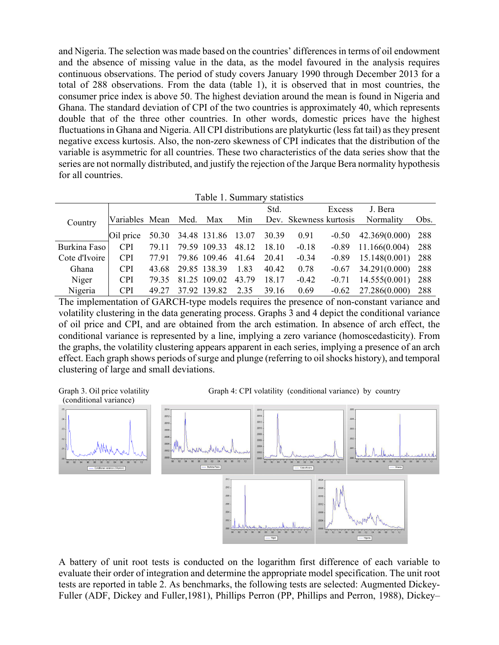and Nigeria. The selection was made based on the countries' differences in terms of oil endowment and the absence of missing value in the data, as the model favoured in the analysis requires continuous observations. The period of study covers January 1990 through December 2013 for a total of 288 observations. From the data (table 1), it is observed that in most countries, the consumer price index is above 50. The highest deviation around the mean is found in Nigeria and Ghana. The standard deviation of CPI of the two countries is approximately 40, which represents double that of the three other countries. In other words, domestic prices have the highest fluctuations in Ghana and Nigeria. All CPI distributions are platykurtic (less fat tail) as they present negative excess kurtosis. Also, the non-zero skewness of CPI indicates that the distribution of the variable is asymmetric for all countries. These two characteristics of the data series show that the series are not normally distributed, and justify the rejection of the Jarque Bera normality hypothesis for all countries.

|  | Table 1. Summary statistics |  |
|--|-----------------------------|--|
|--|-----------------------------|--|

|               |                |       |      |                                |       | Std.  |                        | Excess  | J. Bera       |      |
|---------------|----------------|-------|------|--------------------------------|-------|-------|------------------------|---------|---------------|------|
| Country       | Variables Mean |       | Med. | Max                            | Min   |       | Dev. Skewness kurtosis |         | Normality     | Obs. |
|               | Oil price      |       |      | 50.30 34.48 131.86 13.07 30.39 |       |       | 0.91                   | $-0.50$ | 42.369(0.000) | 288  |
| Burkina Faso  | <b>CPI</b>     | 79.11 |      | 79.59 109.33                   | 48.12 | 18.10 | $-0.18$                | $-0.89$ | 11.166(0.004) | 288  |
| Cote d'Ivoire | <b>CPI</b>     | 7791  |      | 79.86 109.46 41.64             |       | 20.41 | $-0.34$                | $-0.89$ | 15.148(0.001) | 288  |
| Ghana         | <b>CPI</b>     | 43.68 |      | 29.85 138.39                   | 1.83  | 40.42 | 0.78                   | $-0.67$ | 34.291(0.000) | 288  |
| Niger         | <b>CPI</b>     | 79.35 |      | 81.25 109.02                   | 43.79 | 18.17 | $-0.42$                | $-0.71$ | 14.555(0.001) | 288  |
| Nigeria       | <b>CPI</b>     | 49 27 |      | 37.92 139.82                   | 2.35  | 39.16 | 0.69                   | $-0.62$ | 27.286(0.000) | 288  |

The implementation of GARCH-type models requires the presence of non-constant variance and volatility clustering in the data generating process. Graphs 3 and 4 depict the conditional variance of oil price and CPI, and are obtained from the arch estimation. In absence of arch effect, the conditional variance is represented by a line, implying a zero variance (homoscedasticity). From the graphs, the volatility clustering appears apparent in each series, implying a presence of an arch effect. Each graph shows periods of surge and plunge (referring to oil shocks history), and temporal clustering of large and small deviations.



Graph 3. Oil price volatility Graph 4: CPI volatility (conditional variance) by country



A battery of unit root tests is conducted on the logarithm first difference of each variable to evaluate their order of integration and determine the appropriate model specification. The unit root tests are reported in table 2. As benchmarks, the following tests are selected: Augmented Dickey-Fuller (ADF, Dickey and Fuller,1981), Phillips Perron (PP, Phillips and Perron, 1988), Dickey–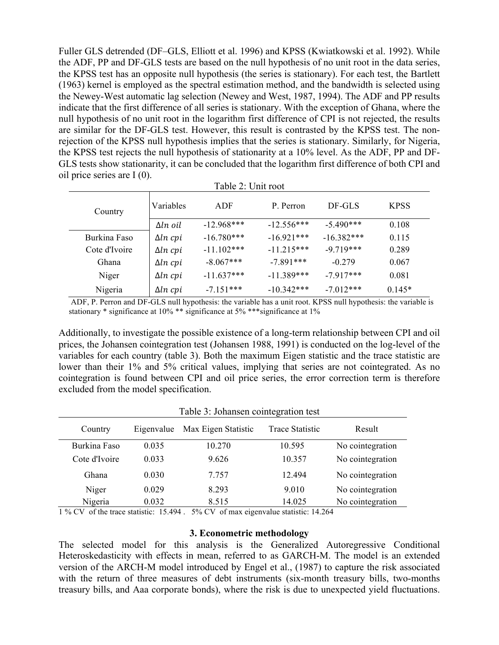Fuller GLS detrended (DF–GLS, Elliott et al. 1996) and KPSS (Kwiatkowski et al. 1992). While the ADF, PP and DF-GLS tests are based on the null hypothesis of no unit root in the data series, the KPSS test has an opposite null hypothesis (the series is stationary). For each test, the Bartlett (1963) kernel is employed as the spectral estimation method, and the bandwidth is selected using the Newey-West automatic lag selection (Newey and West, 1987, 1994). The ADF and PP results indicate that the first difference of all series is stationary. With the exception of Ghana, where the null hypothesis of no unit root in the logarithm first difference of CPI is not rejected, the results are similar for the DF-GLS test. However, this result is contrasted by the KPSS test. The nonrejection of the KPSS null hypothesis implies that the series is stationary. Similarly, for Nigeria, the KPSS test rejects the null hypothesis of stationarity at a 10% level. As the ADF, PP and DF-GLS tests show stationarity, it can be concluded that the logarithm first difference of both CPI and oil price series are I (0).

| Table 2: Unit root |                 |              |              |              |             |  |
|--------------------|-----------------|--------------|--------------|--------------|-------------|--|
| Country            | Variables       | ADF          |              | DF-GLS       | <b>KPSS</b> |  |
|                    | $\Delta ln$ oil | $-12.968***$ | $-12.556***$ | $-5.490***$  | 0.108       |  |
| Burkina Faso       | $\Delta ln$ cpi | $-16.780***$ | $-16.921***$ | $-16.382***$ | 0.115       |  |
| Cote d'Ivoire      | $\Delta ln$ cpi | $-11.102***$ | $-11.215***$ | $-9.719***$  | 0.289       |  |
| Ghana              | $\Delta ln$ cpi | $-8.067***$  | $-7891***$   | $-0.279$     | 0.067       |  |
| Niger              | $\Delta ln$ cpi | $-11.637***$ | $-11.389***$ | $-7917***$   | 0.081       |  |
| Nigeria            | $\Delta ln$ cpi | $-7151***$   | $-10.342***$ | $-7.012***$  | $0.145*$    |  |

 ADF, P. Perron and DF-GLS null hypothesis: the variable has a unit root. KPSS null hypothesis: the variable is stationary \* significance at 10% \*\* significance at 5% \*\*\*significance at 1%

Additionally, to investigate the possible existence of a long-term relationship between CPI and oil prices, the Johansen cointegration test (Johansen 1988, 1991) is conducted on the log-level of the variables for each country (table 3). Both the maximum Eigen statistic and the trace statistic are lower than their 1% and 5% critical values, implying that series are not cointegrated. As no cointegration is found between CPI and oil price series, the error correction term is therefore excluded from the model specification.

|               | Table 3: Johansen cointegration test |                     |                 |                  |  |  |  |
|---------------|--------------------------------------|---------------------|-----------------|------------------|--|--|--|
| Country       | Eigenvalue                           | Max Eigen Statistic | Trace Statistic | Result           |  |  |  |
| Burkina Faso  | 0.035                                | 10.270              | 10.595          | No cointegration |  |  |  |
| Cote d'Ivoire | 0.033                                | 9.626               | 10.357          | No cointegration |  |  |  |
| Ghana         | 0.030                                | 7.757               | 12494           | No cointegration |  |  |  |
| Niger         | 0.029                                | 8.293               | 9.010           | No cointegration |  |  |  |
| Nigeria       | 0.032                                | 8.515               | 14.025          | No cointegration |  |  |  |

#### 1 % CV of the trace statistic: 15.494 . 5% CV of max eigenvalue statistic: 14.264

#### **3. Econometric methodology**

The selected model for this analysis is the Generalized Autoregressive Conditional Heteroskedasticity with effects in mean, referred to as GARCH-M. The model is an extended version of the ARCH-M model introduced by Engel et al., (1987) to capture the risk associated with the return of three measures of debt instruments (six-month treasury bills, two-months treasury bills, and Aaa corporate bonds), where the risk is due to unexpected yield fluctuations.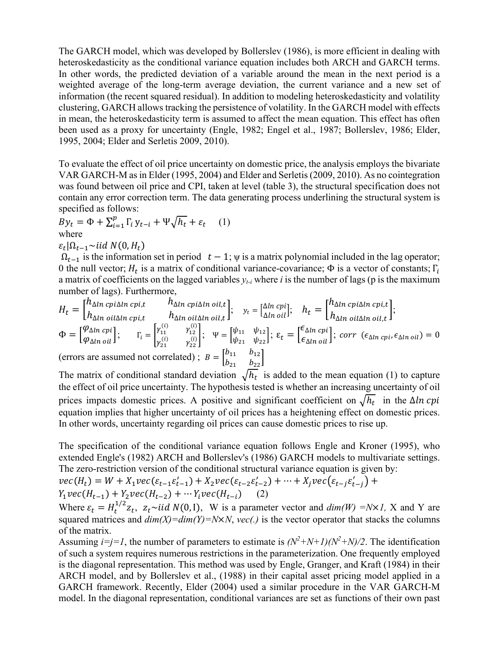The GARCH model, which was developed by Bollerslev (1986), is more efficient in dealing with heteroskedasticity as the conditional variance equation includes both ARCH and GARCH terms. In other words, the predicted deviation of a variable around the mean in the next period is a weighted average of the long-term average deviation, the current variance and a new set of information (the recent squared residual). In addition to modeling heteroskedasticity and volatility clustering, GARCH allows tracking the persistence of volatility. In the GARCH model with effects in mean, the heteroskedasticity term is assumed to affect the mean equation. This effect has often been used as a proxy for uncertainty (Engle, 1982; Engel et al., 1987; Bollerslev, 1986; Elder, 1995, 2004; Elder and Serletis 2009, 2010).

To evaluate the effect of oil price uncertainty on domestic price, the analysis employs the bivariate VAR GARCH-M as in Elder (1995, 2004) and Elder and Serletis (2009, 2010). As no cointegration was found between oil price and CPI, taken at level (table 3), the structural specification does not contain any error correction term. The data generating process underlining the structural system is specified as follows:

 $By_t = \Phi + \sum_{i=1}^p \Gamma_i y_{t-i} + \Psi \sqrt{h_t} + \varepsilon_t$  (1) where

 $\varepsilon_t |\Omega_{t-1} \sim$ iid N(0, H<sub>t</sub>)

 $\Omega_{t-1}$  is the information set in period  $t - 1$ ;  $\psi$  is a matrix polynomial included in the lag operator; 0 the null vector;  $H_t$  is a matrix of conditional variance-covariance;  $\Phi$  is a vector of constants;  $\Gamma_i$ a matrix of coefficients on the lagged variables  $y_t$  where *i* is the number of lags (p is the maximum number of lags). Furthermore,

$$
H_t = \begin{bmatrix} h_{\Delta ln \text{ cpi}} \Delta ln \text{ cpi}, & h_{\Delta ln \text{ cpi}} \Delta ln \text{ cil}, \\ h_{\Delta ln \text{ cil}} \Delta ln \text{ cpi}, & h_{\Delta ln \text{ cil}} \Delta ln \text{ cil}, \end{bmatrix}; \quad y_t = \begin{bmatrix} \Delta ln \text{ cpi} \\ \Delta ln \text{ cil} \end{bmatrix}; \quad h_t = \begin{bmatrix} h_{\Delta ln \text{ cpi}} \Delta ln \text{ cpi}, \\ h_{\Delta ln \text{ cil}, \Delta ln \text{ cil}, \end{bmatrix};
$$

$$
\Phi = \begin{bmatrix} \varphi_{\Delta ln \text{ cpi}} \\ \varphi_{\Delta ln \text{ cil}} \end{bmatrix}; \quad \Gamma_i = \begin{bmatrix} \gamma_{11}^{(i)} & \gamma_{12}^{(i)} \\ \gamma_{21}^{(i)} & \gamma_{22}^{(i)} \end{bmatrix}; \quad \Psi = \begin{bmatrix} \psi_{11} & \psi_{12} \\ \psi_{21} & \psi_{22} \end{bmatrix}; \quad \varepsilon_t = \begin{bmatrix} \epsilon_{\Delta ln \text{ cpi}} \\ \epsilon_{\Delta ln \text{ cil}} \end{bmatrix}; \quad \text{corr} \ (\epsilon_{\Delta ln \text{ cpi}}, \epsilon_{\Delta ln \text{ cil}}) = 0
$$
  
(errors are assumed not correlated); 
$$
B = \begin{bmatrix} b_{11} & b_{12} \\ b_{21} & b_{22} \end{bmatrix}
$$

The matrix of conditional standard deviation  $\sqrt{h_t}$  is added to the mean equation (1) to capture the effect of oil price uncertainty. The hypothesis tested is whether an increasing uncertainty of oil prices impacts domestic prices. A positive and significant coefficient on  $\sqrt{h_t}$  in the  $\Delta ln$  cpi equation implies that higher uncertainty of oil prices has a heightening effect on domestic prices. In other words, uncertainty regarding oil prices can cause domestic prices to rise up.

The specification of the conditional variance equation follows Engle and Kroner (1995), who extended Engle's (1982) ARCH and Bollerslev's (1986) GARCH models to multivariate settings. The zero-restriction version of the conditional structural variance equation is given by:

 $vec(H_t) = W + X_1 vec(\varepsilon_{t-1} \varepsilon'_{t-1}) + X_2 vec(\varepsilon_{t-2} \varepsilon'_{t-2}) + \dots + X_j vec(\varepsilon_{t-j} \varepsilon'_{t-j}) +$  $Y_1vec(H_{t-1}) + Y_2vec(H_{t-2}) + \cdots Y_ivec(H_{t-i})$  (2)

Where  $\varepsilon_t = H_t^{1/2} z_t$ ,  $z_t \sim \text{iid } N(0, I)$ , W is a parameter vector and  $\dim(W) = N \times I$ , X and Y are squared matrices and  $dim(X) = dim(Y) = N \times N$ ,  $vec(.)$  is the vector operator that stacks the columns of the matrix.

Assuming  $i=j=1$ , the number of parameters to estimate is  $(N^2+N+1)(N^2+N)/2$ . The identification of such a system requires numerous restrictions in the parameterization. One frequently employed is the diagonal representation. This method was used by Engle, Granger, and Kraft (1984) in their ARCH model, and by Bollerslev et al., (1988) in their capital asset pricing model applied in a GARCH framework. Recently, Elder (2004) used a similar procedure in the VAR GARCH-M model. In the diagonal representation, conditional variances are set as functions of their own past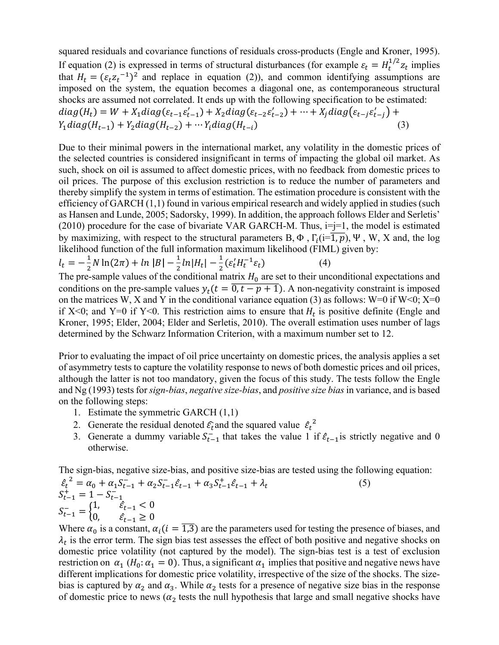squared residuals and covariance functions of residuals cross-products (Engle and Kroner, 1995). If equation (2) is expressed in terms of structural disturbances (for example  $\varepsilon_t = H_t^{1/2} z_t$  implies that  $H_t = (\varepsilon_t z_t^{-1})^2$  and replace in equation (2)), and common identifying assumptions are imposed on the system, the equation becomes a diagonal one, as contemporaneous structural shocks are assumed not correlated. It ends up with the following specification to be estimated:  $diag(H_t) = W + X_1 diag(\varepsilon_{t-1} \varepsilon'_{t-1}) + X_2 diag(\varepsilon_{t-2} \varepsilon'_{t-2}) + \dots + X_j diag(\varepsilon_{t-j} \varepsilon'_{t-j}) +$  $Y_1 diag(H_{t-1}) + Y_2 diag(H_{t-2}) + \cdots Y_i diag(H_{t-i})$  (3)

Due to their minimal powers in the international market, any volatility in the domestic prices of the selected countries is considered insignificant in terms of impacting the global oil market. As such, shock on oil is assumed to affect domestic prices, with no feedback from domestic prices to oil prices. The purpose of this exclusion restriction is to reduce the number of parameters and thereby simplify the system in terms of estimation. The estimation procedure is consistent with the efficiency of GARCH (1,1) found in various empirical research and widely applied in studies (such as Hansen and Lunde, 2005; Sadorsky, 1999). In addition, the approach follows Elder and Serletis' (2010) procedure for the case of bivariate VAR GARCH-M. Thus,  $i=j=1$ , the model is estimated by maximizing, with respect to the structural parameters B,  $\Phi$ ,  $\Gamma_i(i=1, p)$ ,  $\Psi$ , W, X and, the log likelihood function of the full information maximum likelihood (FIML) given by:

$$
l_t = -\frac{1}{2}N\ln(2\pi) + \ln|B| - \frac{1}{2}\ln|H_t| - \frac{1}{2}(\varepsilon'_t H_t^{-1} \varepsilon_t)
$$
 (4)

The pre-sample values of the conditional matrix  $H_0$  are set to their unconditional expectations and conditions on the pre-sample values  $y_t(t = 0, t - p + 1)$ . A non-negativity constraint is imposed on the matrices W, X and Y in the conditional variance equation (3) as follows: W=0 if W<0; X=0 if X<0; and Y=0 if Y<0. This restriction aims to ensure that  $H_t$  is positive definite (Engle and Kroner, 1995; Elder, 2004; Elder and Serletis, 2010). The overall estimation uses number of lags determined by the Schwarz Information Criterion, with a maximum number set to 12.

Prior to evaluating the impact of oil price uncertainty on domestic prices, the analysis applies a set of asymmetry tests to capture the volatility response to news of both domestic prices and oil prices, although the latter is not too mandatory, given the focus of this study. The tests follow the Engle and Ng (1993) tests for *sign-bias*, *negative size-bias*, and *positive size bias* in variance, and is based on the following steps:

- 1. Estimate the symmetric GARCH (1,1)
- 2. Generate the residual denoted  $\hat{\epsilon}_t$  and the squared value  $\hat{\epsilon}_t^2$
- 3. Generate a dummy variable  $S_{t-1}^-$  that takes the value 1 if  $\hat{\epsilon}_{t-1}$  is strictly negative and 0 otherwise.

The sign-bias, negative size-bias, and positive size-bias are tested using the following equation:

$$
\hat{\varepsilon}_{t}^{2} = \alpha_{0} + \alpha_{1} S_{t-1}^{-} + \alpha_{2} S_{t-1}^{-} \hat{\varepsilon}_{t-1} + \alpha_{3} S_{t-1}^{+} \hat{\varepsilon}_{t-1} + \lambda_{t}
$$
\n
$$
S_{t-1}^{+} = 1 - S_{t-1}^{-} \quad (5)
$$
\n
$$
S_{t-1}^{-} = \begin{cases} 1, & \hat{\varepsilon}_{t-1} < 0 \\ 0, & \hat{\varepsilon}_{t-1} \ge 0 \end{cases}
$$

Where  $\alpha_0$  is a constant,  $\alpha_i$  ( $i = \overline{1,3}$ ) are the parameters used for testing the presence of biases, and  $\lambda_t$  is the error term. The sign bias test assesses the effect of both positive and negative shocks on domestic price volatility (not captured by the model). The sign-bias test is a test of exclusion restriction on  $\alpha_1$  (H<sub>0</sub>:  $\alpha_1 = 0$ ). Thus, a significant  $\alpha_1$  implies that positive and negative news have different implications for domestic price volatility, irrespective of the size of the shocks. The sizebias is captured by  $\alpha_2$  and  $\alpha_3$ . While  $\alpha_2$  tests for a presence of negative size bias in the response of domestic price to news ( $\alpha_2$  tests the null hypothesis that large and small negative shocks have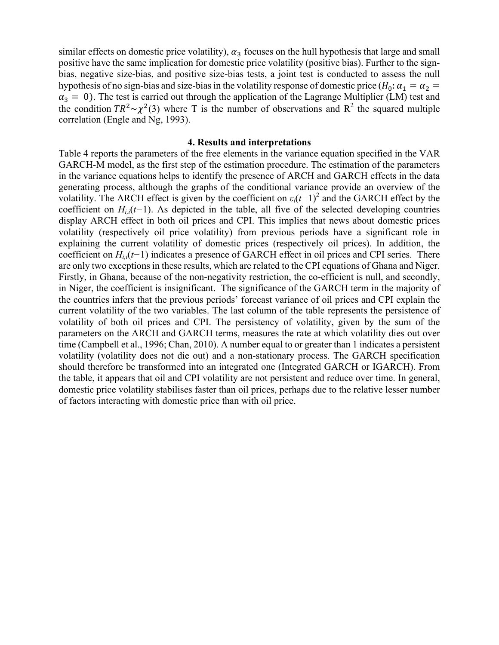similar effects on domestic price volatility),  $\alpha_3$  focuses on the hull hypothesis that large and small positive have the same implication for domestic price volatility (positive bias). Further to the signbias, negative size-bias, and positive size-bias tests, a joint test is conducted to assess the null hypothesis of no sign-bias and size-bias in the volatility response of domestic price ( $H_0: \alpha_1 = \alpha_2 =$  $\alpha_3 = 0$ ). The test is carried out through the application of the Lagrange Multiplier (LM) test and the condition  $TR^2 \sim \chi^2(3)$  where T is the number of observations and R<sup>2</sup> the squared multiple correlation (Engle and Ng, 1993).

#### **4. Results and interpretations**

Table 4 reports the parameters of the free elements in the variance equation specified in the VAR GARCH-M model, as the first step of the estimation procedure. The estimation of the parameters in the variance equations helps to identify the presence of ARCH and GARCH effects in the data generating process, although the graphs of the conditional variance provide an overview of the volatility. The ARCH effect is given by the coefficient on  $\varepsilon_i(t-1)^2$  and the GARCH effect by the coefficient on  $H_{i,i}(t-1)$ . As depicted in the table, all five of the selected developing countries display ARCH effect in both oil prices and CPI. This implies that news about domestic prices volatility (respectively oil price volatility) from previous periods have a significant role in explaining the current volatility of domestic prices (respectively oil prices). In addition, the coefficient on *Hi,i*(*t−*1) indicates a presence of GARCH effect in oil prices and CPI series. There are only two exceptions in these results, which are related to the CPI equations of Ghana and Niger. Firstly, in Ghana, because of the non-negativity restriction, the co-efficient is null, and secondly, in Niger, the coefficient is insignificant. The significance of the GARCH term in the majority of the countries infers that the previous periods' forecast variance of oil prices and CPI explain the current volatility of the two variables. The last column of the table represents the persistence of volatility of both oil prices and CPI. The persistency of volatility, given by the sum of the parameters on the ARCH and GARCH terms, measures the rate at which volatility dies out over time (Campbell et al., 1996; Chan, 2010). A number equal to or greater than 1 indicates a persistent volatility (volatility does not die out) and a non-stationary process. The GARCH specification should therefore be transformed into an integrated one (Integrated GARCH or IGARCH). From the table, it appears that oil and CPI volatility are not persistent and reduce over time. In general, domestic price volatility stabilises faster than oil prices, perhaps due to the relative lesser number of factors interacting with domestic price than with oil price.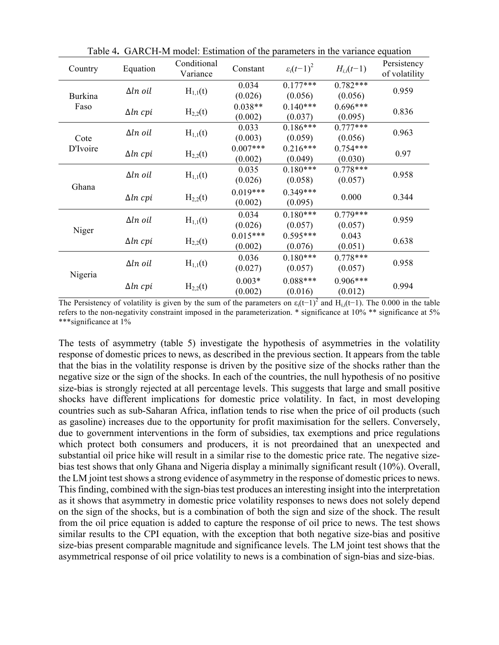| Country        | Equation        | Conditional<br>Variance | Constant              | $\varepsilon_i(t-1)^2$ | $H_{i,i}(t-1)$        | Persistency<br>of volatility |
|----------------|-----------------|-------------------------|-----------------------|------------------------|-----------------------|------------------------------|
| <b>Burkina</b> | $\Delta ln$ oil | $H_{1,1}(t)$            | 0.034<br>(0.026)      | $0.177***$<br>(0.056)  | $0.782***$<br>(0.056) | 0.959                        |
| Faso           | $\Delta ln$ cpi | $H_{2,2}(t)$            | $0.038**$<br>(0.002)  | $0.140***$<br>(0.037)  | $0.696***$<br>(0.095) | 0.836                        |
| Cote           | $\Delta ln$ oil | $H_{1,1}(t)$            | 0.033<br>(0.003)      | $0.186***$<br>(0.059)  | $0.777***$<br>(0.056) | 0.963                        |
| D'Ivoire       | $\Delta ln$ cpi | $H_{2,2}(t)$            | $0.007***$<br>(0.002) | $0.216***$<br>(0.049)  | $0.754***$<br>(0.030) | 0.97                         |
| Ghana          | $\Delta ln$ oil | $H_{1,1}(t)$            | 0.035<br>(0.026)      | $0.180***$<br>(0.058)  | $0.778***$<br>(0.057) | 0.958                        |
|                | $\Delta ln$ cpi | $H_{2,2}(t)$            | $0.019***$<br>(0.002) | $0.349***$<br>(0.095)  | 0.000                 | 0.344                        |
|                | $\Delta ln$ oil | $H_{1,1}(t)$            | 0.034<br>(0.026)      | $0.180***$<br>(0.057)  | $0.779***$<br>(0.057) | 0.959                        |
| Niger          | $\Delta ln$ cpi | $H_{2,2}(t)$            | $0.015***$<br>(0.002) | $0.595***$<br>(0.076)  | 0.043<br>(0.051)      | 0.638                        |
| Nigeria        | $\Delta ln$ oil | $H_{1,1}(t)$            | 0.036<br>(0.027)      | $0.180***$<br>(0.057)  | $0.778***$<br>(0.057) | 0.958                        |
|                | $\Delta ln$ cpi | $H_{2,2}(t)$            | $0.003*$<br>(0.002)   | $0.088***$<br>(0.016)  | $0.906***$<br>(0.012) | 0.994                        |

Table 4**.** GARCH-M model: Estimation of the parameters in the variance equation

The Persistency of volatility is given by the sum of the parameters on  $\varepsilon_i(t-1)^2$  and  $H_{i,i}(t-1)$ . The 0.000 in the table refers to the non-negativity constraint imposed in the parameterization. \* significance at 10% \*\* significance at 5% \*\*\*significance at 1%

The tests of asymmetry (table 5) investigate the hypothesis of asymmetries in the volatility response of domestic prices to news, as described in the previous section. It appears from the table that the bias in the volatility response is driven by the positive size of the shocks rather than the negative size or the sign of the shocks. In each of the countries, the null hypothesis of no positive size-bias is strongly rejected at all percentage levels. This suggests that large and small positive shocks have different implications for domestic price volatility. In fact, in most developing countries such as sub-Saharan Africa, inflation tends to rise when the price of oil products (such as gasoline) increases due to the opportunity for profit maximisation for the sellers. Conversely, due to government interventions in the form of subsidies, tax exemptions and price regulations which protect both consumers and producers, it is not preordained that an unexpected and substantial oil price hike will result in a similar rise to the domestic price rate. The negative sizebias test shows that only Ghana and Nigeria display a minimally significant result (10%). Overall, the LM joint test shows a strong evidence of asymmetry in the response of domestic prices to news. This finding, combined with the sign-bias test produces an interesting insight into the interpretation as it shows that asymmetry in domestic price volatility responses to news does not solely depend on the sign of the shocks, but is a combination of both the sign and size of the shock. The result from the oil price equation is added to capture the response of oil price to news. The test shows similar results to the CPI equation, with the exception that both negative size-bias and positive size-bias present comparable magnitude and significance levels. The LM joint test shows that the asymmetrical response of oil price volatility to news is a combination of sign-bias and size-bias.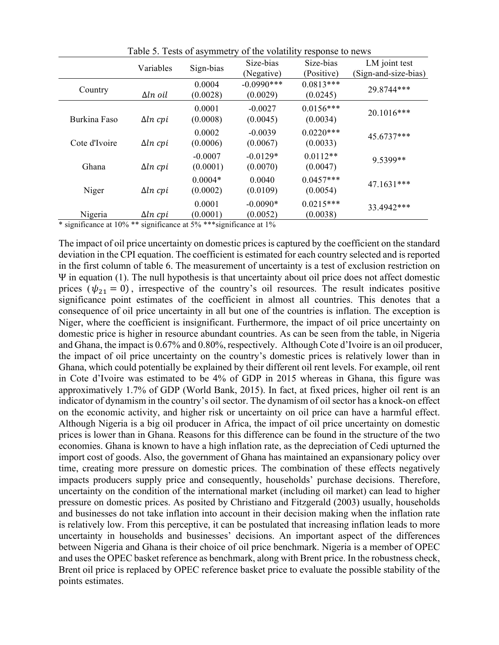|               | Variables       | Sign-bias             | Size-bias<br>(Negative)   | Size-bias<br>(Positive) | LM joint test<br>(Sign-and-size-bias) |
|---------------|-----------------|-----------------------|---------------------------|-------------------------|---------------------------------------|
| Country       | $\Delta ln$ oil | 0.0004<br>(0.0028)    | $-0.0990$ ***<br>(0.0029) | $0.0813***$<br>(0.0245) | 29.8744***                            |
| Burkina Faso  | $\Delta ln$ cpi | 0.0001<br>(0.0008)    | $-0.0027$<br>(0.0045)     | $0.0156***$<br>(0.0034) | 20.1016***                            |
| Cote d'Ivoire | $\Delta ln$ cpi | 0.0002<br>(0.0006)    | $-0.0039$<br>(0.0067)     | $0.0220***$<br>(0.0033) | 45.6737***                            |
| Ghana         | $\Delta ln$ cpi | $-0.0007$<br>(0.0001) | $-0.0129*$<br>(0.0070)    | $0.0112**$<br>(0.0047)  | 9.5399**                              |
| Niger         | $\Delta ln$ cpi | $0.0004*$<br>(0.0002) | 0.0040<br>(0.0109)        | $0.0457***$<br>(0.0054) | 47.1631***                            |
| Nigeria       | $\Delta ln$ cpi | 0.0001<br>(0.0001)    | $-0.0090*$<br>(0.0052)    | $0.0215***$<br>(0.0038) | 33.4942***                            |

Table 5. Tests of asymmetry of the volatility response to news

\* significance at 10% \*\* significance at 5% \*\*\*significance at 1%

The impact of oil price uncertainty on domestic prices is captured by the coefficient on the standard deviation in the CPI equation. The coefficient is estimated for each country selected and is reported in the first column of table 6. The measurement of uncertainty is a test of exclusion restriction on Ψ in equation (1). The null hypothesis is that uncertainty about oil price does not affect domestic prices ( $\psi_{21} = 0$ ), irrespective of the country's oil resources. The result indicates positive significance point estimates of the coefficient in almost all countries. This denotes that a consequence of oil price uncertainty in all but one of the countries is inflation. The exception is Niger, where the coefficient is insignificant. Furthermore, the impact of oil price uncertainty on domestic price is higher in resource abundant countries. As can be seen from the table, in Nigeria and Ghana, the impact is 0.67% and 0.80%, respectively. Although Cote d'Ivoire is an oil producer, the impact of oil price uncertainty on the country's domestic prices is relatively lower than in Ghana, which could potentially be explained by their different oil rent levels. For example, oil rent in Cote d'Ivoire was estimated to be 4% of GDP in 2015 whereas in Ghana, this figure was approximatively 1.7% of GDP (World Bank, 2015). In fact, at fixed prices, higher oil rent is an indicator of dynamism in the country's oil sector. The dynamism of oil sector has a knock-on effect on the economic activity, and higher risk or uncertainty on oil price can have a harmful effect. Although Nigeria is a big oil producer in Africa, the impact of oil price uncertainty on domestic prices is lower than in Ghana. Reasons for this difference can be found in the structure of the two economies. Ghana is known to have a high inflation rate, as the depreciation of Cedi upturned the import cost of goods. Also, the government of Ghana has maintained an expansionary policy over time, creating more pressure on domestic prices. The combination of these effects negatively impacts producers supply price and consequently, households' purchase decisions. Therefore, uncertainty on the condition of the international market (including oil market) can lead to higher pressure on domestic prices. As posited by Christiano and Fitzgerald (2003) usually, households and businesses do not take inflation into account in their decision making when the inflation rate is relatively low. From this perceptive, it can be postulated that increasing inflation leads to more uncertainty in households and businesses' decisions. An important aspect of the differences between Nigeria and Ghana is their choice of oil price benchmark. Nigeria is a member of OPEC and uses the OPEC basket reference as benchmark, along with Brent price. In the robustness check, Brent oil price is replaced by OPEC reference basket price to evaluate the possible stability of the points estimates.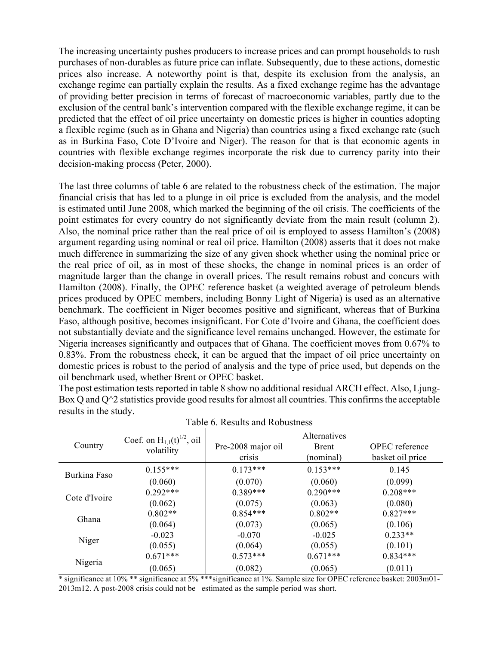The increasing uncertainty pushes producers to increase prices and can prompt households to rush purchases of non-durables as future price can inflate. Subsequently, due to these actions, domestic prices also increase. A noteworthy point is that, despite its exclusion from the analysis, an exchange regime can partially explain the results. As a fixed exchange regime has the advantage of providing better precision in terms of forecast of macroeconomic variables, partly due to the exclusion of the central bank's intervention compared with the flexible exchange regime, it can be predicted that the effect of oil price uncertainty on domestic prices is higher in counties adopting a flexible regime (such as in Ghana and Nigeria) than countries using a fixed exchange rate (such as in Burkina Faso, Cote D'Ivoire and Niger). The reason for that is that economic agents in countries with flexible exchange regimes incorporate the risk due to currency parity into their decision-making process (Peter, 2000).

The last three columns of table 6 are related to the robustness check of the estimation. The major financial crisis that has led to a plunge in oil price is excluded from the analysis, and the model is estimated until June 2008, which marked the beginning of the oil crisis. The coefficients of the point estimates for every country do not significantly deviate from the main result (column 2). Also, the nominal price rather than the real price of oil is employed to assess Hamilton's (2008) argument regarding using nominal or real oil price. Hamilton (2008) asserts that it does not make much difference in summarizing the size of any given shock whether using the nominal price or the real price of oil, as in most of these shocks, the change in nominal prices is an order of magnitude larger than the change in overall prices. The result remains robust and concurs with Hamilton (2008). Finally, the OPEC reference basket (a weighted average of petroleum blends prices produced by OPEC members, including Bonny Light of Nigeria) is used as an alternative benchmark. The coefficient in Niger becomes positive and significant, whereas that of Burkina Faso, although positive, becomes insignificant. For Cote d'Ivoire and Ghana, the coefficient does not substantially deviate and the significance level remains unchanged. However, the estimate for Nigeria increases significantly and outpaces that of Ghana. The coefficient moves from 0.67% to 0.83%. From the robustness check, it can be argued that the impact of oil price uncertainty on domestic prices is robust to the period of analysis and the type of price used, but depends on the oil benchmark used, whether Brent or OPEC basket.

The post estimation tests reported in table 8 show no additional residual ARCH effect. Also, Ljung-Box Q and  $O^{\wedge}2$  statistics provide good results for almost all countries. This confirms the acceptable results in the study.

| Country       | Coef. on $H_{1,1}(t)^{1/2}$ , oil | Alternatives       |              |                       |  |  |
|---------------|-----------------------------------|--------------------|--------------|-----------------------|--|--|
|               | volatility                        | Pre-2008 major oil | <b>Brent</b> | <b>OPEC</b> reference |  |  |
|               |                                   | crisis             | (nominal)    | basket oil price      |  |  |
| Burkina Faso  | $0.155***$                        | $0.173***$         | $0.153***$   | 0.145                 |  |  |
|               | (0.060)                           | (0.070)            | (0.060)      | (0.099)               |  |  |
| Cote d'Ivoire | $0.292***$                        | $0.389***$         | $0.290***$   | $0.208***$            |  |  |
|               | (0.062)                           | (0.075)            | (0.063)      | (0.080)               |  |  |
| Ghana         | $0.802**$                         | $0.854***$         | $0.802**$    | $0.827***$            |  |  |
|               | (0.064)                           | (0.073)            | (0.065)      | (0.106)               |  |  |
|               | $-0.023$                          | $-0.070$           | $-0.025$     | $0.233**$             |  |  |
| Niger         | (0.055)                           | (0.064)            | (0.055)      | (0.101)               |  |  |
|               | $0.671***$                        | $0.573***$         | $0.671***$   | $0.834***$            |  |  |
| Nigeria       | (0.065)                           | (0.082)            | (0.065)      | (0.011)               |  |  |

Table 6. Results and Robustness

\* significance at 10% \*\* significance at 5% \*\*\* significance at 1%. Sample size for OPEC reference basket: 2003m01-2013m12. A post-2008 crisis could not be estimated as the sample period was short.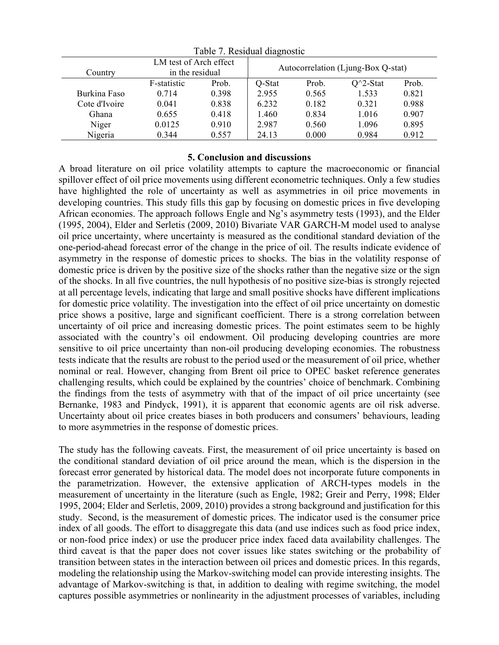| Country       | LM test of Arch effect<br>in the residual |       |        |       | Autocorrelation (Ljung-Box Q-stat) |       |
|---------------|-------------------------------------------|-------|--------|-------|------------------------------------|-------|
|               | F-statistic                               | Prob. | Q-Stat | Prob. | $Q^2$ -Stat                        | Prob. |
| Burkina Faso  | 0.714                                     | 0.398 | 2.955  | 0.565 | 1.533                              | 0.821 |
| Cote d'Ivoire | 0.041                                     | 0.838 | 6.232  | 0.182 | 0.321                              | 0.988 |
| Ghana         | 0.655                                     | 0.418 | 1.460  | 0.834 | 1.016                              | 0.907 |
| Niger         | 0.0125                                    | 0.910 | 2.987  | 0.560 | 1.096                              | 0.895 |
| Nigeria       | 0.344                                     | 0.557 | 24.13  | 0.000 | 0.984                              | 0.912 |

Table 7. Residual diagnostic

### **5. Conclusion and discussions**

A broad literature on oil price volatility attempts to capture the macroeconomic or financial spillover effect of oil price movements using different econometric techniques. Only a few studies have highlighted the role of uncertainty as well as asymmetries in oil price movements in developing countries. This study fills this gap by focusing on domestic prices in five developing African economies. The approach follows Engle and Ng's asymmetry tests (1993), and the Elder (1995, 2004), Elder and Serletis (2009, 2010) Bivariate VAR GARCH-M model used to analyse oil price uncertainty, where uncertainty is measured as the conditional standard deviation of the one-period-ahead forecast error of the change in the price of oil. The results indicate evidence of asymmetry in the response of domestic prices to shocks. The bias in the volatility response of domestic price is driven by the positive size of the shocks rather than the negative size or the sign of the shocks. In all five countries, the null hypothesis of no positive size-bias is strongly rejected at all percentage levels, indicating that large and small positive shocks have different implications for domestic price volatility. The investigation into the effect of oil price uncertainty on domestic price shows a positive, large and significant coefficient. There is a strong correlation between uncertainty of oil price and increasing domestic prices. The point estimates seem to be highly associated with the country's oil endowment. Oil producing developing countries are more sensitive to oil price uncertainty than non-oil producing developing economies. The robustness tests indicate that the results are robust to the period used or the measurement of oil price, whether nominal or real. However, changing from Brent oil price to OPEC basket reference generates challenging results, which could be explained by the countries' choice of benchmark. Combining the findings from the tests of asymmetry with that of the impact of oil price uncertainty (see Bernanke, 1983 and Pindyck, 1991), it is apparent that economic agents are oil risk adverse. Uncertainty about oil price creates biases in both producers and consumers' behaviours, leading to more asymmetries in the response of domestic prices.

The study has the following caveats. First, the measurement of oil price uncertainty is based on the conditional standard deviation of oil price around the mean, which is the dispersion in the forecast error generated by historical data. The model does not incorporate future components in the parametrization. However, the extensive application of ARCH-types models in the measurement of uncertainty in the literature (such as Engle, 1982; Greir and Perry, 1998; Elder 1995, 2004; Elder and Serletis, 2009, 2010) provides a strong background and justification for this study. Second, is the measurement of domestic prices. The indicator used is the consumer price index of all goods. The effort to disaggregate this data (and use indices such as food price index, or non-food price index) or use the producer price index faced data availability challenges. The third caveat is that the paper does not cover issues like states switching or the probability of transition between states in the interaction between oil prices and domestic prices. In this regards, modeling the relationship using the Markov-switching model can provide interesting insights. The advantage of Markov-switching is that, in addition to dealing with regime switching, the model captures possible asymmetries or nonlinearity in the adjustment processes of variables, including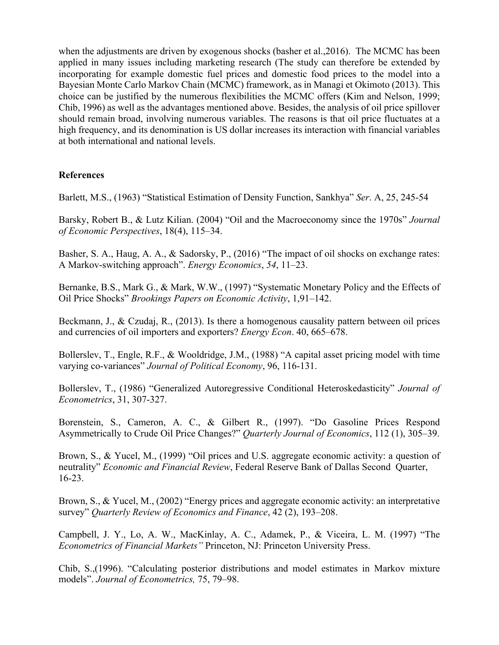when the adjustments are driven by exogenous shocks (basher et al.,2016). The MCMC has been applied in many issues including marketing research (The study can therefore be extended by incorporating for example domestic fuel prices and domestic food prices to the model into a Bayesian Monte Carlo Markov Chain (MCMC) framework, as in Managi et Okimoto (2013). This choice can be justified by the numerous flexibilities the MCMC offers (Kim and Nelson, 1999; Chib, 1996) as well as the advantages mentioned above. Besides, the analysis of oil price spillover should remain broad, involving numerous variables. The reasons is that oil price fluctuates at a high frequency, and its denomination is US dollar increases its interaction with financial variables at both international and national levels.

## **References**

Barlett, M.S., (1963) "Statistical Estimation of Density Function, Sankhya" *Ser*. A, 25, 245-54

Barsky, Robert B., & Lutz Kilian. (2004) "Oil and the Macroeconomy since the 1970s" *Journal of Economic Perspectives*, 18(4), 115–34.

Basher, S. A., Haug, A. A., & Sadorsky, P., (2016) "The impact of oil shocks on exchange rates: A Markov-switching approach". *Energy Economics*, *54*, 11–23.

Bernanke, B.S., Mark G., & Mark, W.W., (1997) "Systematic Monetary Policy and the Effects of Oil Price Shocks" *Brookings Papers on Economic Activity*, 1,91–142.

Beckmann, J., & Czudaj, R., (2013). Is there a homogenous causality pattern between oil prices and currencies of oil importers and exporters? *Energy Econ*. 40, 665–678.

Bollerslev, T., Engle, R.F., & Wooldridge, J.M., (1988) "A capital asset pricing model with time varying co-variances" *Journal of Political Economy*, 96, 116-131.

Bollerslev, T., (1986) "Generalized Autoregressive Conditional Heteroskedasticity" *Journal of Econometrics*, 31, 307-327.

Borenstein, S., Cameron, A. C., & Gilbert R., (1997). "Do Gasoline Prices Respond Asymmetrically to Crude Oil Price Changes?" *Quarterly Journal of Economics*, 112 (1), 305–39.

Brown, S., & Yucel, M., (1999) "Oil prices and U.S. aggregate economic activity: a question of neutrality" *Economic and Financial Review*, Federal Reserve Bank of Dallas Second Quarter, 16-23.

Brown, S., & Yucel, M., (2002) "Energy prices and aggregate economic activity: an interpretative survey" *Quarterly Review of Economics and Finance*, 42 (2), 193–208.

Campbell, J. Y., Lo, A. W., MacKinlay, A. C., Adamek, P., & Viceira, L. M. (1997) "The *Econometrics of Financial Markets"* Princeton, NJ: Princeton University Press.

Chib, S.,(1996). "Calculating posterior distributions and model estimates in Markov mixture models". *Journal of Econometrics,* 75, 79–98.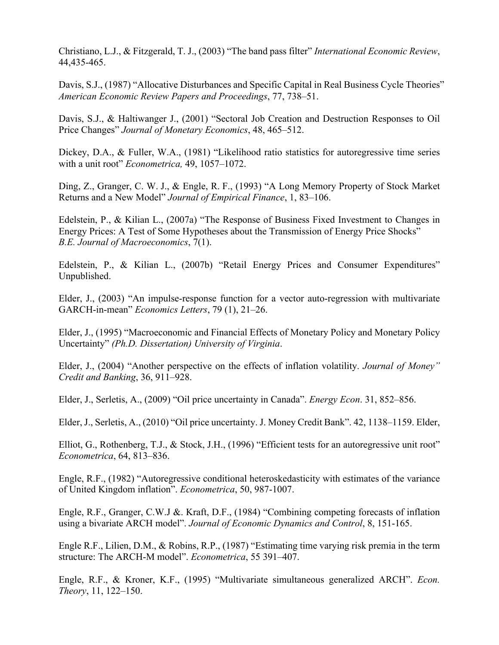Christiano, L.J., & Fitzgerald, T. J., (2003) "The band pass filter" *International Economic Review*, 44,435-465.

Davis, S.J., (1987) "Allocative Disturbances and Specific Capital in Real Business Cycle Theories" *American Economic Review Papers and Proceedings*, 77, 738–51.

Davis, S.J., & Haltiwanger J., (2001) "Sectoral Job Creation and Destruction Responses to Oil Price Changes" *Journal of Monetary Economics*, 48, 465–512.

Dickey, D.A., & Fuller, W.A., (1981) "Likelihood ratio statistics for autoregressive time series with a unit root" *Econometrica,* 49, 1057–1072.

Ding, Z., Granger, C. W. J., & Engle, R. F., (1993) "A Long Memory Property of Stock Market Returns and a New Model" *Journal of Empirical Finance*, 1, 83–106.

Edelstein, P., & Kilian L., (2007a) "The Response of Business Fixed Investment to Changes in Energy Prices: A Test of Some Hypotheses about the Transmission of Energy Price Shocks" *B.E. Journal of Macroeconomics*, 7(1).

Edelstein, P., & Kilian L., (2007b) "Retail Energy Prices and Consumer Expenditures" Unpublished.

Elder, J., (2003) "An impulse-response function for a vector auto-regression with multivariate GARCH-in-mean" *Economics Letters*, 79 (1), 21–26.

Elder, J., (1995) "Macroeconomic and Financial Effects of Monetary Policy and Monetary Policy Uncertainty" *(Ph.D. Dissertation) University of Virginia*.

Elder, J., (2004) "Another perspective on the effects of inflation volatility. *Journal of Money" Credit and Banking*, 36, 911–928.

Elder, J., Serletis, A., (2009) "Oil price uncertainty in Canada". *Energy Econ*. 31, 852–856.

Elder, J., Serletis, A., (2010) "Oil price uncertainty. J. Money Credit Bank". 42, 1138–1159. Elder,

Elliot, G., Rothenberg, T.J., & Stock, J.H., (1996) "Efficient tests for an autoregressive unit root" *Econometrica*, 64, 813–836.

Engle, R.F., (1982) "Autoregressive conditional heteroskedasticity with estimates of the variance of United Kingdom inflation". *Econometrica*, 50, 987-1007.

Engle, R.F., Granger, C.W.J &. Kraft, D.F., (1984) "Combining competing forecasts of inflation using a bivariate ARCH model". *Journal of Economic Dynamics and Control*, 8, 151-165.

Engle R.F., Lilien, D.M., & Robins, R.P., (1987) "Estimating time varying risk premia in the term structure: The ARCH-M model". *Econometrica*, 55 391–407.

Engle, R.F., & Kroner, K.F., (1995) "Multivariate simultaneous generalized ARCH". *Econ. Theory*, 11, 122–150.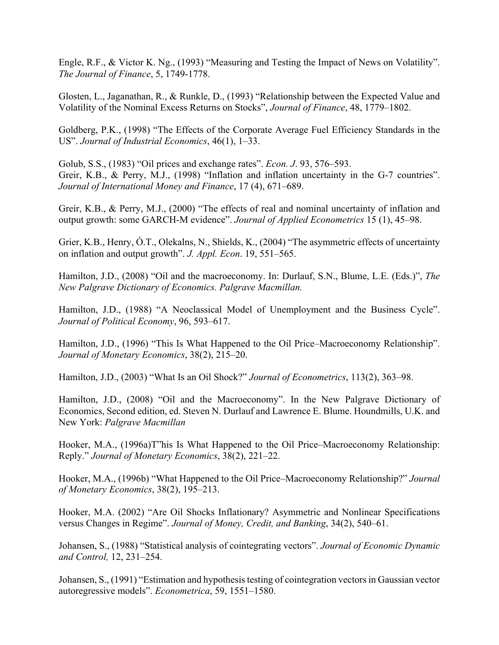Engle, R.F., & Victor K. Ng., (1993) "Measuring and Testing the Impact of News on Volatility". *The Journal of Finance*, 5, 1749-1778.

Glosten, L., Jaganathan, R., & Runkle, D., (1993) "Relationship between the Expected Value and Volatility of the Nominal Excess Returns on Stocks", *Journal of Finance*, 48, 1779–1802.

Goldberg, P.K., (1998) "The Effects of the Corporate Average Fuel Efficiency Standards in the US". *Journal of Industrial Economics*, 46(1), 1–33.

Golub, S.S., (1983) "Oil prices and exchange rates". *Econ. J*. 93, 576–593. Greir, K.B., & Perry, M.J., (1998) "Inflation and inflation uncertainty in the G-7 countries". *Journal of International Money and Finance*, 17 (4), 671–689.

Greir, K.B., & Perry, M.J., (2000) "The effects of real and nominal uncertainty of inflation and output growth: some GARCH-M evidence". *Journal of Applied Econometrics* 15 (1), 45–98.

Grier, K.B., Henry, Ó.T., Olekalns, N., Shields, K., (2004) "The asymmetric effects of uncertainty on inflation and output growth". *J. Appl. Econ*. 19, 551–565.

Hamilton, J.D., (2008) "Oil and the macroeconomy. In: Durlauf, S.N., Blume, L.E. (Eds.)", *The New Palgrave Dictionary of Economics. Palgrave Macmillan.*

Hamilton, J.D., (1988) "A Neoclassical Model of Unemployment and the Business Cycle". *Journal of Political Economy*, 96, 593–617.

Hamilton, J.D., (1996) "This Is What Happened to the Oil Price–Macroeconomy Relationship". *Journal of Monetary Economics*, 38(2), 215–20.

Hamilton, J.D., (2003) "What Is an Oil Shock?" *Journal of Econometrics*, 113(2), 363–98.

Hamilton, J.D., (2008) "Oil and the Macroeconomy". In the New Palgrave Dictionary of Economics, Second edition, ed. Steven N. Durlauf and Lawrence E. Blume. Houndmills, U.K. and New York: *Palgrave Macmillan*

Hooker, M.A., (1996a)T"his Is What Happened to the Oil Price–Macroeconomy Relationship: Reply." *Journal of Monetary Economics*, 38(2), 221–22.

Hooker, M.A., (1996b) "What Happened to the Oil Price–Macroeconomy Relationship?" *Journal of Monetary Economics*, 38(2), 195–213.

Hooker, M.A. (2002) "Are Oil Shocks Inflationary? Asymmetric and Nonlinear Specifications versus Changes in Regime". *Journal of Money, Credit, and Banking*, 34(2), 540–61.

Johansen, S., (1988) "Statistical analysis of cointegrating vectors". *Journal of Economic Dynamic and Control,* 12, 231–254.

Johansen, S., (1991) "Estimation and hypothesis testing of cointegration vectors in Gaussian vector autoregressive models". *Econometrica*, 59, 1551–1580.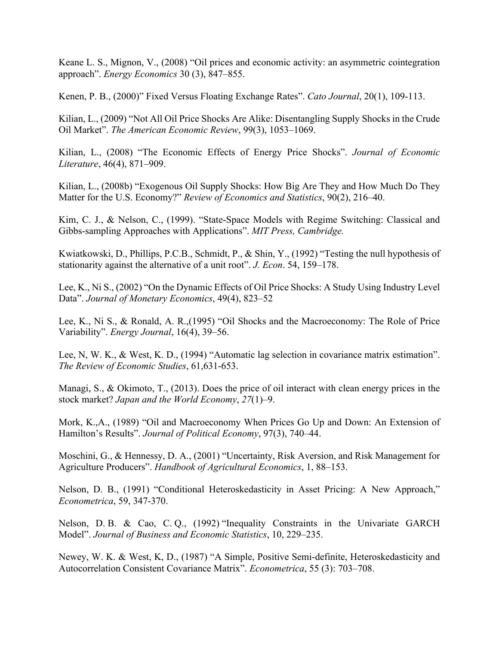Keane L. S., Mignon, V., (2008) "Oil prices and economic activity: an asymmetric cointegration approach". *Energy Economics* 30 (3), 847–855.

Kenen, P. B., (2000)" Fixed Versus Floating Exchange Rates". *Cato Journal*, 20(1), 109-113.

Kilian, L., (2009) "Not All Oil Price Shocks Are Alike: Disentangling Supply Shocks in the Crude Oil Market". *The American Economic Review*, 99(3), 1053–1069.

Kilian, L., (2008) "The Economic Effects of Energy Price Shocks". *Journal of Economic Literature*, 46(4), 871–909.

Kilian, L., (2008b) "Exogenous Oil Supply Shocks: How Big Are They and How Much Do They Matter for the U.S. Economy?" *Review of Economics and Statistics*, 90(2), 216–40.

Kim, C. J., & Nelson, C., (1999). "State-Space Models with Regime Switching: Classical and Gibbs-sampling Approaches with Applications". *MIT Press, Cambridge.*

Kwiatkowski, D., Phillips, P.C.B., Schmidt, P., & Shin, Y., (1992) "Testing the null hypothesis of stationarity against the alternative of a unit root". *J. Econ*. 54, 159–178.

Lee, K., Ni S., (2002) "On the Dynamic Effects of Oil Price Shocks: A Study Using Industry Level Data". *Journal of Monetary Economics*, 49(4), 823–52

Lee, K., Ni S., & Ronald, A. R.,(1995) "Oil Shocks and the Macroeconomy: The Role of Price Variability". *Energy Journal*, 16(4), 39–56.

Lee, N, W. K., & West, K. D., (1994) "Automatic lag selection in covariance matrix estimation". *The Review of Economic Studies*, 61,631-653.

Managi, S., & Okimoto, T., (2013). Does the price of oil interact with clean energy prices in the stock market? *Japan and the World Economy*, *27*(1)–9.

Mork, K.,A., (1989) "Oil and Macroeconomy When Prices Go Up and Down: An Extension of Hamilton's Results". *Journal of Political Economy*, 97(3), 740–44.

Moschini, G., & Hennessy, D. A., (2001) "Uncertainty, Risk Aversion, and Risk Management for Agriculture Producers". *Handbook of Agricultural Economics*, 1, 88–153.

Nelson, D. B., (1991) "Conditional Heteroskedasticity in Asset Pricing: A New Approach," *Econometrica*, 59, 347-370.

Nelson, D. B. & Cao, C. Q., (1992) "Inequality Constraints in the Univariate GARCH Model". *Journal of Business and Economic Statistics*, 10, 229–235.

Newey, W. K. & West, K, D., (1987) "A Simple, Positive Semi-definite, Heteroskedasticity and Autocorrelation Consistent Covariance Matrix". *Econometrica*, 55 (3): 703–708.